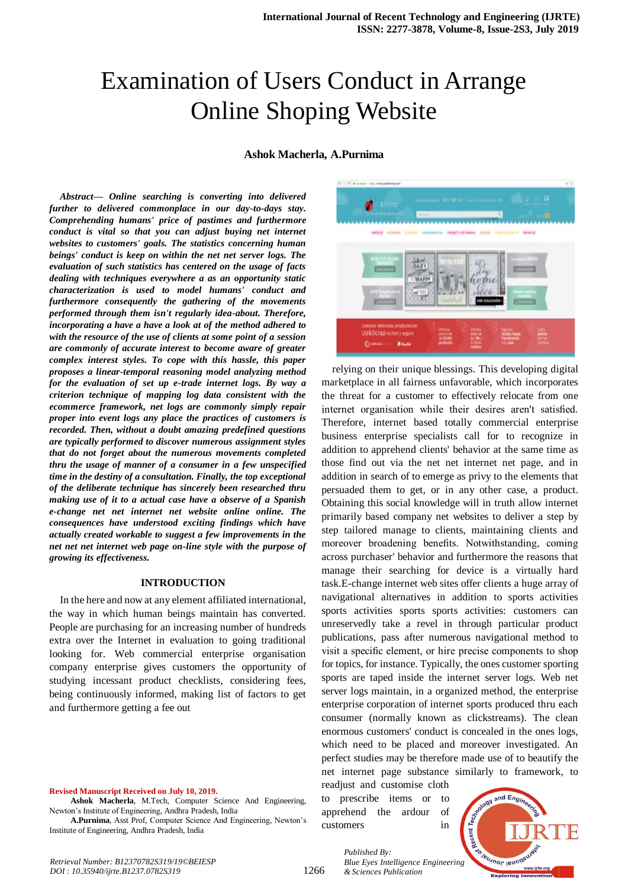# Examination of Users Conduct in Arrange Online Shoping Website

## **Ashok Macherla, A.Purnima**

*Abstract***—** *Online searching is converting into delivered further to delivered commonplace in our day-to-days stay. Comprehending humans' price of pastimes and furthermore conduct is vital so that you can adjust buying net internet websites to customers' goals. The statistics concerning human beings' conduct is keep on within the net net server logs. The evaluation of such statistics has centered on the usage of facts dealing with techniques everywhere a as an opportunity static characterization is used to model humans' conduct and furthermore consequently the gathering of the movements performed through them isn't regularly idea-about. Therefore, incorporating a have a have a look at of the method adhered to with the resource of the use of clients at some point of a session are commonly of accurate interest to become aware of greater complex interest styles. To cope with this hassle, this paper proposes a linear-temporal reasoning model analyzing method for the evaluation of set up e-trade internet logs. By way a criterion technique of mapping log data consistent with the ecommerce framework, net logs are commonly simply repair proper into event logs any place the practices of customers is recorded. Then, without a doubt amazing predefined questions are typically performed to discover numerous assignment styles that do not forget about the numerous movements completed thru the usage of manner of a consumer in a few unspecified time in the destiny of a consultation. Finally, the top exceptional of the deliberate technique has sincerely been researched thru making use of it to a actual case have a observe of a Spanish e-change net net internet net website online online. The consequences have understood exciting findings which have actually created workable to suggest a few improvements in the net net net internet web page on-line style with the purpose of growing its effectiveness.*

#### **INTRODUCTION**

In the here and now at any element affiliated international, the way in which human beings maintain has converted. People are purchasing for an increasing number of hundreds extra over the Internet in evaluation to going traditional looking for. Web commercial enterprise organisation company enterprise gives customers the opportunity of studying incessant product checklists, considering fees, being continuously informed, making list of factors to get and furthermore getting a fee out

#### **Revised Manuscript Received on July 10, 2019.**

**Ashok Macherla**, M.Tech, Computer Science And Engineering, Newton's Institute of Engineering, Andhra Pradesh, India

**A.Purnima**, Asst Prof, Computer Science And Engineering, Newton's Institute of Engineering, Andhra Pradesh, India



relying on their unique blessings. This developing digital marketplace in all fairness unfavorable, which incorporates the threat for a customer to effectively relocate from one internet organisation while their desires aren't satisfied. Therefore, internet based totally commercial enterprise business enterprise specialists call for to recognize in addition to apprehend clients' behavior at the same time as those find out via the net net internet net page, and in addition in search of to emerge as privy to the elements that persuaded them to get, or in any other case, a product. Obtaining this social knowledge will in truth allow internet primarily based company net websites to deliver a step by step tailored manage to clients, maintaining clients and moreover broadening benefits. Notwithstanding, coming across purchaser' behavior and furthermore the reasons that manage their searching for device is a virtually hard task.E-change internet web sites offer clients a huge array of navigational alternatives in addition to sports activities sports activities sports sports activities: customers can unreservedly take a revel in through particular product publications, pass after numerous navigational method to visit a specific element, or hire precise components to shop for topics, for instance. Typically, the ones customer sporting sports are taped inside the internet server logs. Web net server logs maintain, in a organized method, the enterprise enterprise corporation of internet sports produced thru each consumer (normally known as clickstreams). The clean enormous customers' conduct is concealed in the ones logs, which need to be placed and moreover investigated. An perfect studies may be therefore made use of to beautify the net internet page substance similarly to framework, to

readjust and customise cloth to prescribe items or to apprehend the ardour of customers in

*& Sciences Publication* 

*Published By:*



*Retrieval Number: B12370782S319/19©BEIESP DOI : 10.35940/ijrte.B1237.0782S319*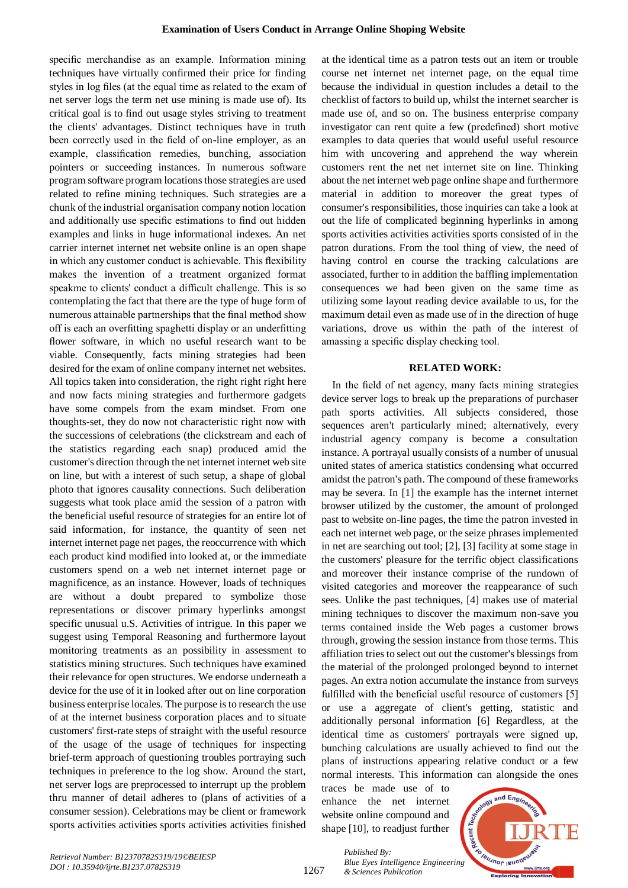specific merchandise as an example. Information mining techniques have virtually confirmed their price for finding styles in log files (at the equal time as related to the exam of net server logs the term net use mining is made use of). Its critical goal is to find out usage styles striving to treatment the clients' advantages. Distinct techniques have in truth been correctly used in the field of on-line employer, as an example, classification remedies, bunching, association pointers or succeeding instances. In numerous software program software program locations those strategies are used related to refine mining techniques. Such strategies are a chunk of the industrial organisation company notion location and additionally use specific estimations to find out hidden examples and links in huge informational indexes. An net carrier internet internet net website online is an open shape in which any customer conduct is achievable. This flexibility makes the invention of a treatment organized format speakme to clients' conduct a difficult challenge. This is so contemplating the fact that there are the type of huge form of numerous attainable partnerships that the final method show off is each an overfitting spaghetti display or an underfitting flower software, in which no useful research want to be viable. Consequently, facts mining strategies had been desired for the exam of online company internet net websites. All topics taken into consideration, the right right right here and now facts mining strategies and furthermore gadgets have some compels from the exam mindset. From one thoughts-set, they do now not characteristic right now with the successions of celebrations (the clickstream and each of the statistics regarding each snap) produced amid the customer's direction through the net internet internet web site on line, but with a interest of such setup, a shape of global photo that ignores causality connections. Such deliberation suggests what took place amid the session of a patron with the beneficial useful resource of strategies for an entire lot of said information, for instance, the quantity of seen net internet internet page net pages, the reoccurrence with which each product kind modified into looked at, or the immediate customers spend on a web net internet internet page or magnificence, as an instance. However, loads of techniques are without a doubt prepared to symbolize those representations or discover primary hyperlinks amongst specific unusual u.S. Activities of intrigue. In this paper we suggest using Temporal Reasoning and furthermore layout monitoring treatments as an possibility in assessment to statistics mining structures. Such techniques have examined their relevance for open structures. We endorse underneath a device for the use of it in looked after out on line corporation business enterprise locales. The purpose is to research the use of at the internet business corporation places and to situate customers' first-rate steps of straight with the useful resource of the usage of the usage of techniques for inspecting brief-term approach of questioning troubles portraying such techniques in preference to the log show. Around the start, net server logs are preprocessed to interrupt up the problem thru manner of detail adheres to (plans of activities of a consumer session). Celebrations may be client or framework sports activities activities sports activities activities finished

at the identical time as a patron tests out an item or trouble course net internet net internet page, on the equal time because the individual in question includes a detail to the checklist of factors to build up, whilst the internet searcher is made use of, and so on. The business enterprise company investigator can rent quite a few (predefined) short motive examples to data queries that would useful useful resource him with uncovering and apprehend the way wherein customers rent the net net internet site on line. Thinking about the net internet web page online shape and furthermore material in addition to moreover the great types of consumer's responsibilities, those inquiries can take a look at out the life of complicated beginning hyperlinks in among sports activities activities activities sports consisted of in the patron durations. From the tool thing of view, the need of having control en course the tracking calculations are associated, further to in addition the baffling implementation consequences we had been given on the same time as utilizing some layout reading device available to us, for the maximum detail even as made use of in the direction of huge variations, drove us within the path of the interest of amassing a specific display checking tool.

### **RELATED WORK:**

In the field of net agency, many facts mining strategies device server logs to break up the preparations of purchaser path sports activities. All subjects considered, those sequences aren't particularly mined; alternatively, every industrial agency company is become a consultation instance. A portrayal usually consists of a number of unusual united states of america statistics condensing what occurred amidst the patron's path. The compound of these frameworks may be severa. In [1] the example has the internet internet browser utilized by the customer, the amount of prolonged past to website on-line pages, the time the patron invested in each net internet web page, or the seize phrases implemented in net are searching out tool; [2], [3] facility at some stage in the customers' pleasure for the terrific object classifications and moreover their instance comprise of the rundown of visited categories and moreover the reappearance of such sees. Unlike the past techniques, [4] makes use of material mining techniques to discover the maximum non-save you terms contained inside the Web pages a customer brows through, growing the session instance from those terms. This affiliation tries to select out out the customer's blessings from the material of the prolonged prolonged beyond to internet pages. An extra notion accumulate the instance from surveys fulfilled with the beneficial useful resource of customers [5] or use a aggregate of client's getting, statistic and additionally personal information [6] Regardless, at the identical time as customers' portrayals were signed up, bunching calculations are usually achieved to find out the plans of instructions appearing relative conduct or a few normal interests. This information can alongside the ones

traces be made use of to enhance the net internet website online compound and shape [10], to readjust further



*Published By: Blue Eyes Intelligence Engineering & Sciences Publication*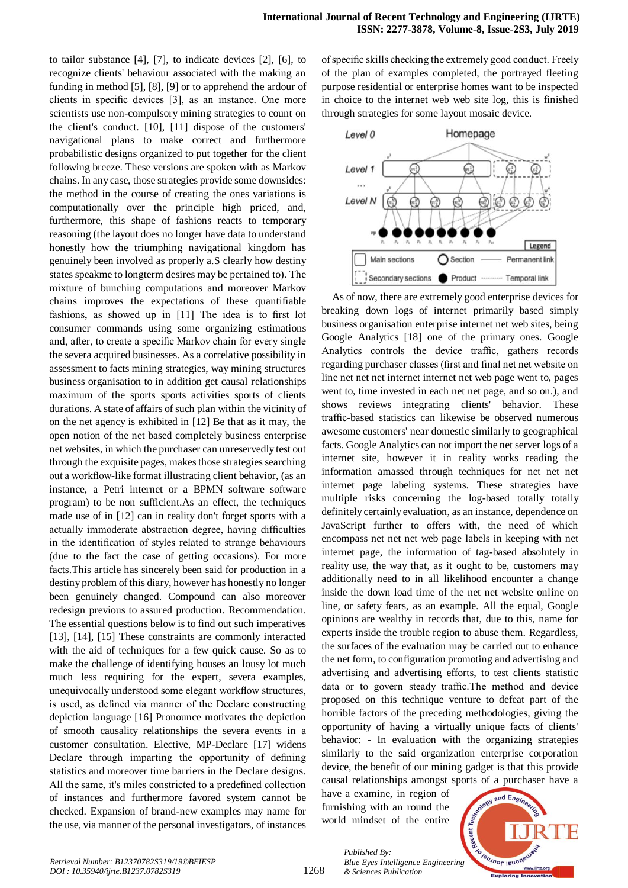to tailor substance [4], [7], to indicate devices [2], [6], to recognize clients' behaviour associated with the making an funding in method [5], [8], [9] or to apprehend the ardour of clients in specific devices [3], as an instance. One more scientists use non-compulsory mining strategies to count on the client's conduct. [10], [11] dispose of the customers' navigational plans to make correct and furthermore probabilistic designs organized to put together for the client following breeze. These versions are spoken with as Markov chains. In any case, those strategies provide some downsides: the method in the course of creating the ones variations is computationally over the principle high priced, and, furthermore, this shape of fashions reacts to temporary reasoning (the layout does no longer have data to understand honestly how the triumphing navigational kingdom has genuinely been involved as properly a.S clearly how destiny states speakme to longterm desires may be pertained to). The mixture of bunching computations and moreover Markov chains improves the expectations of these quantifiable fashions, as showed up in [11] The idea is to first lot consumer commands using some organizing estimations and, after, to create a specific Markov chain for every single the severa acquired businesses. As a correlative possibility in assessment to facts mining strategies, way mining structures business organisation to in addition get causal relationships maximum of the sports sports activities sports of clients durations. A state of affairs of such plan within the vicinity of on the net agency is exhibited in [12] Be that as it may, the open notion of the net based completely business enterprise net websites, in which the purchaser can unreservedly test out through the exquisite pages, makes those strategies searching out a workflow-like format illustrating client behavior, (as an instance, a Petri internet or a BPMN software software program) to be non sufficient.As an effect, the techniques made use of in [12] can in reality don't forget sports with a actually immoderate abstraction degree, having difficulties in the identification of styles related to strange behaviours (due to the fact the case of getting occasions). For more facts.This article has sincerely been said for production in a destiny problem of this diary, however has honestly no longer been genuinely changed. Compound can also moreover redesign previous to assured production. Recommendation. The essential questions below is to find out such imperatives [13], [14], [15] These constraints are commonly interacted with the aid of techniques for a few quick cause. So as to make the challenge of identifying houses an lousy lot much much less requiring for the expert, severa examples, unequivocally understood some elegant workflow structures, is used, as defined via manner of the Declare constructing depiction language [16] Pronounce motivates the depiction of smooth causality relationships the severa events in a customer consultation. Elective, MP-Declare [17] widens Declare through imparting the opportunity of defining statistics and moreover time barriers in the Declare designs. All the same, it's miles constricted to a predefined collection of instances and furthermore favored system cannot be checked. Expansion of brand-new examples may name for the use, via manner of the personal investigators, of instances of specific skills checking the extremely good conduct. Freely of the plan of examples completed, the portrayed fleeting purpose residential or enterprise homes want to be inspected in choice to the internet web web site log, this is finished through strategies for some layout mosaic device.



As of now, there are extremely good enterprise devices for breaking down logs of internet primarily based simply business organisation enterprise internet net web sites, being Google Analytics [18] one of the primary ones. Google Analytics controls the device traffic, gathers records regarding purchaser classes (first and final net net website on line net net net internet internet net web page went to, pages went to, time invested in each net net page, and so on.), and shows reviews integrating clients' behavior. These traffic-based statistics can likewise be observed numerous awesome customers' near domestic similarly to geographical facts. Google Analytics can not import the net server logs of a internet site, however it in reality works reading the information amassed through techniques for net net net internet page labeling systems. These strategies have multiple risks concerning the log-based totally totally definitely certainly evaluation, as an instance, dependence on JavaScript further to offers with, the need of which encompass net net net web page labels in keeping with net internet page, the information of tag-based absolutely in reality use, the way that, as it ought to be, customers may additionally need to in all likelihood encounter a change inside the down load time of the net net website online on line, or safety fears, as an example. All the equal, Google opinions are wealthy in records that, due to this, name for experts inside the trouble region to abuse them. Regardless, the surfaces of the evaluation may be carried out to enhance the net form, to configuration promoting and advertising and advertising and advertising efforts, to test clients statistic data or to govern steady traffic.The method and device proposed on this technique venture to defeat part of the horrible factors of the preceding methodologies, giving the opportunity of having a virtually unique facts of clients' behavior: - In evaluation with the organizing strategies similarly to the said organization enterprise corporation device, the benefit of our mining gadget is that this provide causal relationships amongst sports of a purchaser have a

have a examine, in region of furnishing with an round the world mindset of the entire

*& Sciences Publication* 

*Published By:*

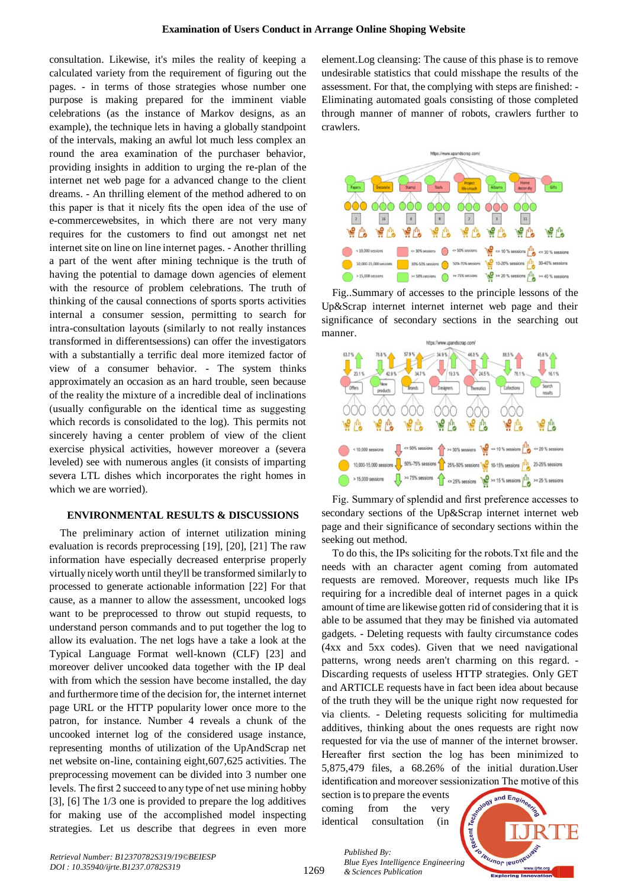consultation. Likewise, it's miles the reality of keeping a calculated variety from the requirement of figuring out the pages. - in terms of those strategies whose number one purpose is making prepared for the imminent viable celebrations (as the instance of Markov designs, as an example), the technique lets in having a globally standpoint of the intervals, making an awful lot much less complex an round the area examination of the purchaser behavior, providing insights in addition to urging the re-plan of the internet net web page for a advanced change to the client dreams. - An thrilling element of the method adhered to on this paper is that it nicely fits the open idea of the use of e-commercewebsites, in which there are not very many requires for the customers to find out amongst net net internet site on line on line internet pages. - Another thrilling a part of the went after mining technique is the truth of having the potential to damage down agencies of element with the resource of problem celebrations. The truth of thinking of the causal connections of sports sports activities internal a consumer session, permitting to search for intra-consultation layouts (similarly to not really instances transformed in differentsessions) can offer the investigators with a substantially a terrific deal more itemized factor of view of a consumer behavior. - The system thinks approximately an occasion as an hard trouble, seen because of the reality the mixture of a incredible deal of inclinations (usually configurable on the identical time as suggesting which records is consolidated to the log). This permits not sincerely having a center problem of view of the client exercise physical activities, however moreover a (severa leveled) see with numerous angles (it consists of imparting severa LTL dishes which incorporates the right homes in which we are worried).

# **ENVIRONMENTAL RESULTS & DISCUSSIONS**

The preliminary action of internet utilization mining evaluation is records preprocessing [19], [20], [21] The raw information have especially decreased enterprise properly virtually nicely worth until they'll be transformed similarly to processed to generate actionable information [22] For that cause, as a manner to allow the assessment, uncooked logs want to be preprocessed to throw out stupid requests, to understand person commands and to put together the log to allow its evaluation. The net logs have a take a look at the Typical Language Format well-known (CLF) [23] and moreover deliver uncooked data together with the IP deal with from which the session have become installed, the day and furthermore time of the decision for, the internet internet page URL or the HTTP popularity lower once more to the patron, for instance. Number 4 reveals a chunk of the uncooked internet log of the considered usage instance, representing months of utilization of the UpAndScrap net net website on-line, containing eight,607,625 activities. The preprocessing movement can be divided into 3 number one levels. The first 2 succeed to any type of net use mining hobby [3], [6] The 1/3 one is provided to prepare the log additives for making use of the accomplished model inspecting strategies. Let us describe that degrees in even more element.Log cleansing: The cause of this phase is to remove undesirable statistics that could misshape the results of the assessment. For that, the complying with steps are finished: - Eliminating automated goals consisting of those completed through manner of manner of robots, crawlers further to crawlers.



Fig..Summary of accesses to the principle lessons of the Up&Scrap internet internet internet web page and their significance of secondary sections in the searching out manner.



Fig. Summary of splendid and first preference accesses to secondary sections of the Up&Scrap internet internet web page and their significance of secondary sections within the seeking out method.

To do this, the IPs soliciting for the robots.Txt file and the needs with an character agent coming from automated requests are removed. Moreover, requests much like IPs requiring for a incredible deal of internet pages in a quick amount of time are likewise gotten rid of considering that it is able to be assumed that they may be finished via automated gadgets. - Deleting requests with faulty circumstance codes (4xx and 5xx codes). Given that we need navigational patterns, wrong needs aren't charming on this regard. - Discarding requests of useless HTTP strategies. Only GET and ARTICLE requests have in fact been idea about because of the truth they will be the unique right now requested for via clients. - Deleting requests soliciting for multimedia additives, thinking about the ones requests are right now requested for via the use of manner of the internet browser. Hereafter first section the log has been minimized to 5,875,479 files, a 68.26% of the initial duration.User identification and moreover sessionization The motive of this

section is to prepare the events coming from the very identical consultation (in

*& Sciences Publication* 

*Published By:*

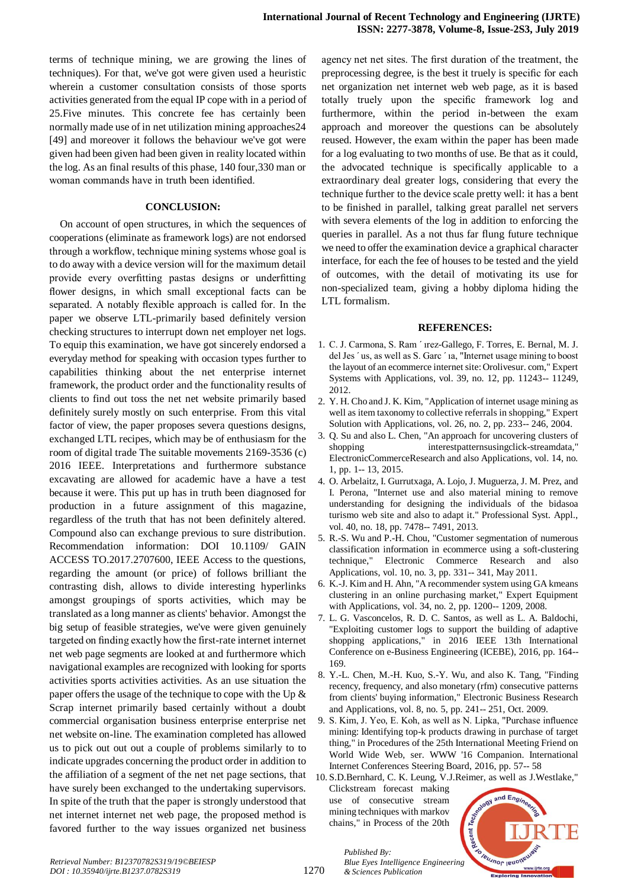terms of technique mining, we are growing the lines of techniques). For that, we've got were given used a heuristic wherein a customer consultation consists of those sports activities generated from the equal IP cope with in a period of 25.Five minutes. This concrete fee has certainly been normally made use of in net utilization mining approaches24 [49] and moreover it follows the behaviour we've got were given had been given had been given in reality located within the log. As an final results of this phase, 140 four,330 man or woman commands have in truth been identified.

#### **CONCLUSION:**

On account of open structures, in which the sequences of cooperations (eliminate as framework logs) are not endorsed through a workflow, technique mining systems whose goal is to do away with a device version will for the maximum detail provide every overfitting pastas designs or underfitting flower designs, in which small exceptional facts can be separated. A notably flexible approach is called for. In the paper we observe LTL-primarily based definitely version checking structures to interrupt down net employer net logs. To equip this examination, we have got sincerely endorsed a everyday method for speaking with occasion types further to capabilities thinking about the net enterprise internet framework, the product order and the functionality results of clients to find out toss the net net website primarily based definitely surely mostly on such enterprise. From this vital factor of view, the paper proposes severa questions designs, exchanged LTL recipes, which may be of enthusiasm for the room of digital trade The suitable movements 2169-3536 (c) 2016 IEEE. Interpretations and furthermore substance excavating are allowed for academic have a have a test because it were. This put up has in truth been diagnosed for production in a future assignment of this magazine, regardless of the truth that has not been definitely altered. Compound also can exchange previous to sure distribution. Recommendation information: DOI 10.1109/ GAIN ACCESS TO.2017.2707600, IEEE Access to the questions, regarding the amount (or price) of follows brilliant the contrasting dish, allows to divide interesting hyperlinks amongst groupings of sports activities, which may be translated as a long manner as clients' behavior. Amongst the big setup of feasible strategies, we've were given genuinely targeted on finding exactly how the first-rate internet internet net web page segments are looked at and furthermore which navigational examples are recognized with looking for sports activities sports activities activities. As an use situation the paper offers the usage of the technique to cope with the Up & Scrap internet primarily based certainly without a doubt commercial organisation business enterprise enterprise net net website on-line. The examination completed has allowed us to pick out out out a couple of problems similarly to to indicate upgrades concerning the product order in addition to the affiliation of a segment of the net net page sections, that have surely been exchanged to the undertaking supervisors. In spite of the truth that the paper is strongly understood that net internet internet net web page, the proposed method is favored further to the way issues organized net business

agency net net sites. The first duration of the treatment, the preprocessing degree, is the best it truely is specific for each net organization net internet web web page, as it is based totally truely upon the specific framework log and furthermore, within the period in-between the exam approach and moreover the questions can be absolutely reused. However, the exam within the paper has been made for a log evaluating to two months of use. Be that as it could, the advocated technique is specifically applicable to a extraordinary deal greater logs, considering that every the technique further to the device scale pretty well: it has a bent to be finished in parallel, talking great parallel net servers with severa elements of the log in addition to enforcing the queries in parallel. As a not thus far flung future technique we need to offer the examination device a graphical character interface, for each the fee of houses to be tested and the yield of outcomes, with the detail of motivating its use for non-specialized team, giving a hobby diploma hiding the LTL formalism.

#### **REFERENCES:**

- 1. C. J. Carmona, S. Ram ´ ırez-Gallego, F. Torres, E. Bernal, M. J. del Jes ´ us, as well as S. Garc ´ ıa, "Internet usage mining to boost the layout of an ecommerce internet site: Orolivesur. com," Expert Systems with Applications, vol. 39, no. 12, pp. 11243-- 11249, 2012.
- 2. Y. H. Cho and J. K. Kim, "Application of internet usage mining as well as item taxonomy to collective referrals in shopping," Expert Solution with Applications, vol. 26, no. 2, pp. 233-- 246, 2004.
- 3. Q. Su and also L. Chen, "An approach for uncovering clusters of shopping interestpatternsusingclick-streamdata," ElectronicCommerceResearch and also Applications, vol. 14, no. 1, pp. 1-- 13, 2015.
- 4. O. Arbelaitz, I. Gurrutxaga, A. Lojo, J. Muguerza, J. M. Prez, and I. Perona, "Internet use and also material mining to remove understanding for designing the individuals of the bidasoa turismo web site and also to adapt it." Professional Syst. Appl., vol. 40, no. 18, pp. 7478-- 7491, 2013.
- 5. R.-S. Wu and P.-H. Chou, "Customer segmentation of numerous classification information in ecommerce using a soft-clustering technique," Electronic Commerce Research and also Applications, vol. 10, no. 3, pp. 331-- 341, May 2011.
- 6. K.-J. Kim and H. Ahn, "A recommender system using GA kmeans clustering in an online purchasing market," Expert Equipment with Applications, vol. 34, no. 2, pp. 1200-- 1209, 2008.
- 7. L. G. Vasconcelos, R. D. C. Santos, as well as L. A. Baldochi, "Exploiting customer logs to support the building of adaptive shopping applications," in 2016 IEEE 13th International Conference on e-Business Engineering (ICEBE), 2016, pp. 164-- 169.
- 8. Y.-L. Chen, M.-H. Kuo, S.-Y. Wu, and also K. Tang, "Finding recency, frequency, and also monetary (rfm) consecutive patterns from clients' buying information," Electronic Business Research and Applications, vol. 8, no. 5, pp. 241-- 251, Oct. 2009.
- 9. S. Kim, J. Yeo, E. Koh, as well as N. Lipka, "Purchase influence mining: Identifying top-k products drawing in purchase of target thing," in Procedures of the 25th International Meeting Friend on World Wide Web, ser. WWW '16 Companion. International Internet Conferences Steering Board, 2016, pp. 57-- 58 10. S.D.Bernhard, C. K. Leung, V.J.Reimer, as well as J.Westlake,"
- Clickstream forecast making use of consecutive stream mining techniques with markov chains," in Process of the 20th

*& Sciences Publication* 

*Published By:*